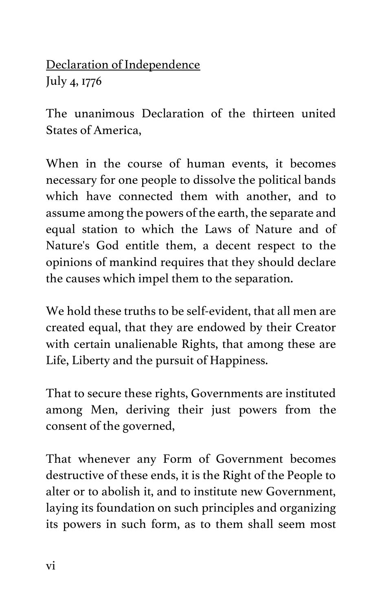Declaration of Independence July 4, 1776

The unanimous Declaration of the thirteen united States of America,

When in the course of human events, it becomes necessary for one people to dissolve the political bands which have connected them with another, and to assume among the powers of the earth, the separate and equal station to which the Laws of Nature and of Nature's God entitle them, a decent respect to the opinions of mankind requires that they should declare the causes which impel them to the separation.

We hold these truths to be self-evident, that all men are created equal, that they are endowed by their Creator with certain unalienable Rights, that among these are Life, Liberty and the pursuit of Happiness.

That to secure these rights, Governments are instituted among Men, deriving their just powers from the consent of the governed,

That whenever any Form of Government becomes destructive of these ends, it is the Right of the People to alter or to abolish it, and to institute new Government, laying its foundation on such principles and organizing its powers in such form, as to them shall seem most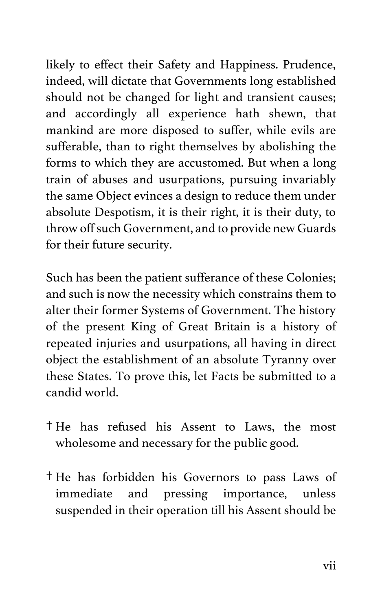likely to effect their Safety and Happiness. Prudence, indeed, will dictate that Governments long established should not be changed for light and transient causes; and accordingly all experience hath shewn, that mankind are more disposed to suffer, while evils are sufferable, than to right themselves by abolishing the forms to which they are accustomed. But when a long train of abuses and usurpations, pursuing invariably the same Object evinces a design to reduce them under absolute Despotism, it is their right, it is their duty, to throw off such Government, and to provide new Guards for their future security.

Such has been the patient sufferance of these Colonies; and such is now the necessity which constrains them to alter their former Systems of Government. The history of the present King of Great Britain is a history of repeated injuries and usurpations, all having in direct object the establishment of an absolute Tyranny over these States. To prove this, let Facts be submitted to a candid world.

- † He has refused his Assent to Laws, the most wholesome and necessary for the public good.
- † He has forbidden his Governors to pass Laws of immediate and pressing importance, unless suspended in their operation till his Assent should be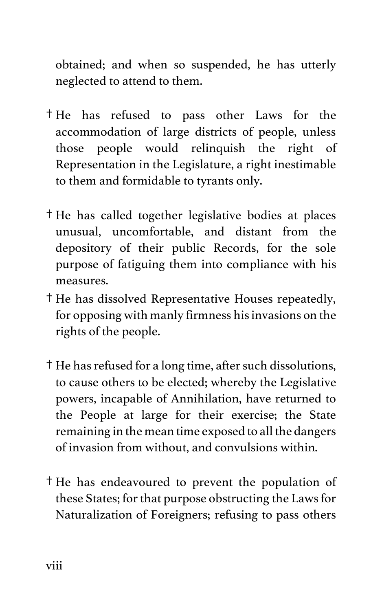obtained; and when so suspended, he has utterly neglected to attend to them.

- † He has refused to pass other Laws for the accommodation of large districts of people, unless those people would relinquish the right of Representation in the Legislature, a right inestimable to them and formidable to tyrants only.
- † He has called together legislative bodies at places unusual, uncomfortable, and distant from the depository of their public Records, for the sole purpose of fatiguing them into compliance with his measures.
- † He has dissolved Representative Houses repeatedly, for opposing with manly firmness his invasions on the rights of the people.
- † He has refused for a long time, after such dissolutions, to cause others to be elected; whereby the Legislative powers, incapable of Annihilation, have returned to the People at large for their exercise; the State remaining in the mean time exposed to all the dangers of invasion from without, and convulsions within.
- † He has endeavoured to prevent the population of these States; for that purpose obstructing the Laws for Naturalization of Foreigners; refusing to pass others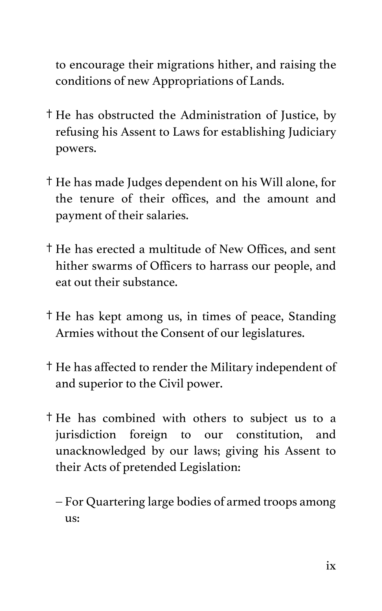to encourage their migrations hither, and raising the conditions of new Appropriations of Lands.

- † He has obstructed the Administration of Justice, by refusing his Assent to Laws for establishing Judiciary powers.
- † He has made Judges dependent on his Will alone, for the tenure of their offices, and the amount and payment of their salaries.
- † He has erected a multitude of New Offices, and sent hither swarms of Officers to harrass our people, and eat out their substance.
- † He has kept among us, in times of peace, Standing Armies without the Consent of our legislatures.
- † He has affected to render the Military independent of and superior to the Civil power.
- † He has combined with others to subject us to a jurisdiction foreign to our constitution, and unacknowledged by our laws; giving his Assent to their Acts of pretended Legislation:
	- For Quartering large bodies of armed troops among us: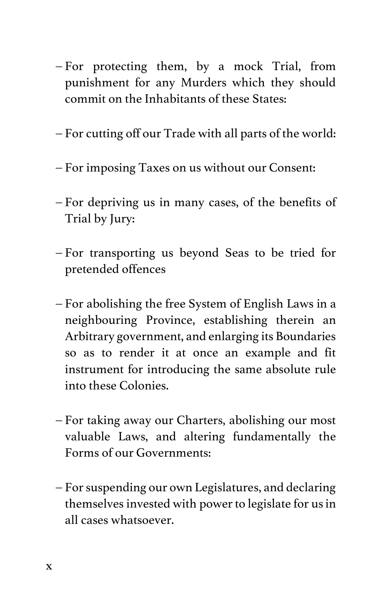- For protecting them, by a mock Trial, from punishment for any Murders which they should commit on the Inhabitants of these States:
- For cutting off our Trade with all parts of the world:
- For imposing Taxes on us without our Consent:
- For depriving us in many cases, of the benefits of Trial by Jury:
- For transporting us beyond Seas to be tried for pretended offences
- For abolishing the free System of English Laws in a neighbouring Province, establishing therein an Arbitrary government, and enlarging its Boundaries so as to render it at once an example and fit instrument for introducing the same absolute rule into these Colonies.
- For taking away our Charters, abolishing our most valuable Laws, and altering fundamentally the Forms of our Governments:
- For suspending our own Legislatures, and declaring themselves invested with power to legislate for us in all cases whatsoever.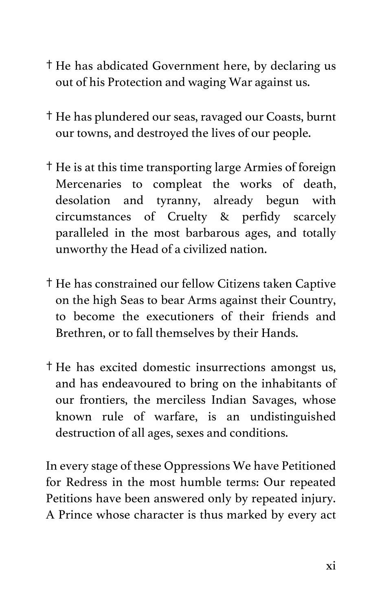- † He has abdicated Government here, by declaring us out of his Protection and waging War against us.
- † He has plundered our seas, ravaged our Coasts, burnt our towns, and destroyed the lives of our people.
- † He is at this time transporting large Armies of foreign Mercenaries to compleat the works of death, desolation and tyranny, already begun with circumstances of Cruelty & perfidy scarcely paralleled in the most barbarous ages, and totally unworthy the Head of a civilized nation.
- † He has constrained our fellow Citizens taken Captive on the high Seas to bear Arms against their Country, to become the executioners of their friends and Brethren, or to fall themselves by their Hands.
- † He has excited domestic insurrections amongst us, and has endeavoured to bring on the inhabitants of our frontiers, the merciless Indian Savages, whose known rule of warfare, is an undistinguished destruction of all ages, sexes and conditions.

In every stage of these Oppressions We have Petitioned for Redress in the most humble terms: Our repeated Petitions have been answered only by repeated injury. A Prince whose character is thus marked by every act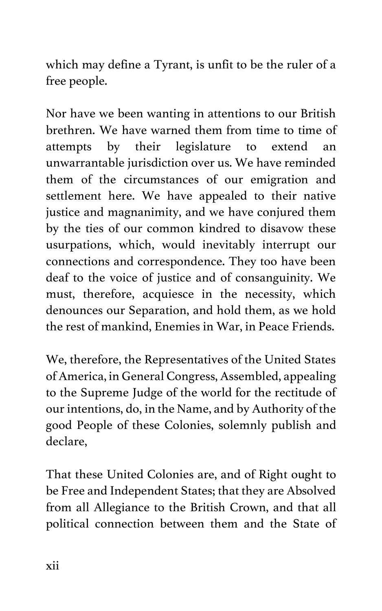which may define a Tyrant, is unfit to be the ruler of a free people.

Nor have we been wanting in attentions to our British brethren. We have warned them from time to time of attempts by their legislature to extend an unwarrantable jurisdiction over us. We have reminded them of the circumstances of our emigration and settlement here. We have appealed to their native justice and magnanimity, and we have conjured them by the ties of our common kindred to disavow these usurpations, which, would inevitably interrupt our connections and correspondence. They too have been deaf to the voice of justice and of consanguinity. We must, therefore, acquiesce in the necessity, which denounces our Separation, and hold them, as we hold the rest of mankind, Enemies in War, in Peace Friends.

We, therefore, the Representatives of the United States of America, in General Congress, Assembled, appealing to the Supreme Judge of the world for the rectitude of our intentions, do, in the Name, and by Authority of the good People of these Colonies, solemnly publish and declare,

That these United Colonies are, and of Right ought to be Free and Independent States; that they are Absolved from all Allegiance to the British Crown, and that all political connection between them and the State of